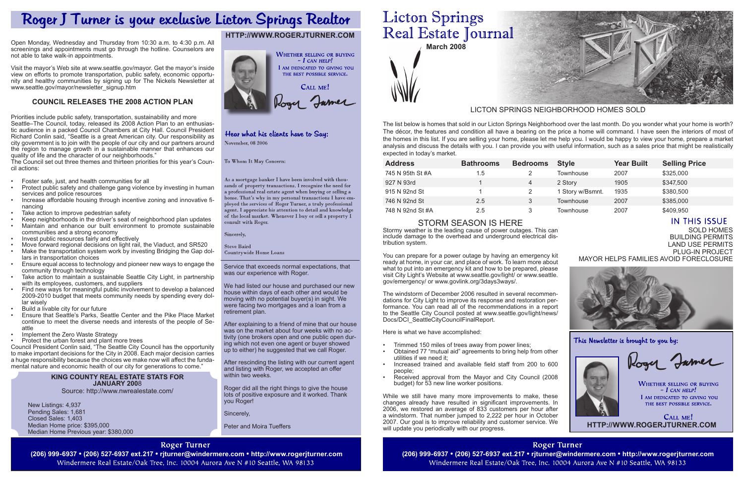**March 2008**

Sold Homes Building Permits

Land Use Permits PLUG-IN PROJECT Mayor Helps Families Avoid foreclosure



This Newsletter is brought to you by:



Roger Jamer

**WHETHER SELLING OR BUYING**  $-I$  CAN HELP! I AM DEDICATED TO GIVING YOU THE BEST POSSIBLE SERVICE.

### **King County rEAL eSTATE sTATS FOR January 200**8

Source: http://www.nwrealestate.com/

New Listings: 4,937 Pending Sales: 1,681 Closed Sales: 1,403 Median Home price: \$395,000 Median Home Previous year: \$380,000

# **Roger Turner**

(206) 999-6937 • (206) 527-6937 ext.217 • rjturner@windermere.com • http://www.rogerjturner.com (206) 999-6937 • (206) 527-6937 ext.217 • rjturner@windermere.com • http://www.rogerjturner.com Windermere Real Estate/Oak Tree, Inc. 10004 Aurora Ave N #10 Seattle, WA 98133

Service that exceeds normal expectations, that was our experience with Roger.

We had listed our house and purchased our new house within days of each other and would be moving with no potential buyer(s) in sight. We were facing two mortgages and a loan from a retirement plan.

After explaining to a friend of mine that our house was on the market about four weeks with no activity (one brokers open and one public open during which not even one agent or buyer showed up to either) he suggested that we call Roger.

The windstorm of December 2006 resulted in several recommendations for City Light to improve its response and restoration performance. You can read all of the recommendations in a report to the Seattle City Council posted at www.seattle.gov/light/news/ Docs/DCI\_SeattleCityCouncilFinalReport.

After rescinding the listing with our current agent and listing with Roger, we accepted an offer within two weeks.

Roger did all the right things to give the house lots of positive exposure and it worked. Thank you Roger!

Sincerely,

Peter and Moira Tueffers

# **Licton Springs** Real Estate Journal

- Trimmed 150 miles of trees away from power lines;
- Obtained 77 "mutual aid" agreements to bring help from other utilities if we need it;
- Increased trained and available field staff from 200 to 600 people;
- Received approval from the Mayor and City Council (2008) budget) for 53 new line worker positions.

While we still have many more improvements to make, these changes already have resulted in significant improvements. In 2006, we restored an average of 833 customers per hour after a windstorm. That number jumped to 2,222 per hour in October 2007. Our goal is to improve reliability and customer service. We will update you periodically with our progress.

> **Roger Turner** Windermere Real Estate/Oak Tree, Inc. 10004 Aurora Ave N #10 Seattle, WA 98133



# Storm season is here

Stormy weather is the leading cause of power outages. This can include damage to the overhead and underground electrical distribution system.

Visit the mayor's Web site at www.seattle.gov/mayor. Get the mayor's inside view on efforts to promote transportation, public safety, economic opportunity and healthy communities by signing up for The Nickels Newsletter at www.seattle.gov/mayor/newsletter\_signup.htm

> You can prepare for a power outage by having an emergency kit ready at home, in your car, and place of work. To learn more about what to put into an emergency kit and how to be prepared, please visit City Light's Website at www.seattle.gov/light/ or www.seattle. gov/emergency/ or www.govlink.org/3days3ways/.

Here is what we have accomplished:

# Roger J Turner is your exclusive Licton Springs Realtor

Open Monday, Wednesday and Thursday from 10:30 a.m. to 4:30 p.m. All screenings and appointments must go through the hotline. Counselors are not able to take walk-in appointments.

# **COUNCIL RELEASES THE 2008 ACTION PLAN**

 $C$ ALL ME! **http://www.rogerjturner.com**

Priorities include public safety, transportation, sustainability and more Seattle–The Council, today, released its 2008 Action Plan to an enthusiastic audience in a packed Council Chambers at City Hall. Council President Richard Conlin said, "Seattle is a great American city. Our responsibility as city government is to join with the people of our city and our partners around the region to manage growth in a sustainable manner that enhances our quality of life and the character of our neighborhoods."

The Council set out three themes and thirteen priorities for this year's Council actions:

- Foster safe, just, and health communities for all
- Protect public safety and challenge gang violence by investing in human services and police resources
- Increase affordable housing through incentive zoning and innovative financing
- Take action to improve pedestrian safety
- Keep neighborhoods in the driver's seat of neighborhood plan updates
- Maintain and enhance our built environment to promote sustainable communities and a strong economy
- Invest public resources fairly and effectively
- Move forward regional decisions on light rail, the Viaduct, and SR520
- Make the transportation system work by investing Bridging the Gap dollars in transportation choices
- Ensure equal access to technology and pioneer new ways to engage the community through technology
- Take action to maintain a sustainable Seattle City Light, in partnership with its employees, customers, and suppliers
- Find new ways for meaningful public involvement to develop a balanced 2009-2010 budget that meets community needs by spending every dollar wisely
- Build a livable city for our future
- Ensure that Seattle's Parks, Seattle Center and the Pike Place Market continue to meet the diverse needs and interests of the people of Seattle
- Implement the Zero Waste Strategy
- Protect the urban forest and plant more trees

Council President Conlin said, "The Seattle City Council has the opportunity to make important decisions for the City in 2008. Each major decision carries a huge responsibility because the choices we make now will affect the fundamental nature and economic health of our city for generations to come."

| <b>Address</b>   | <b>Bathrooms</b> | <b>Bedrooms</b> | <b>Style</b>     | <b>Year Built</b> | <b>Selling Price</b> |
|------------------|------------------|-----------------|------------------|-------------------|----------------------|
| 745 N 95th St #A | 1.5              |                 | Townhouse        | 2007              | \$325,000            |
| 927 N 93rd       |                  | 4               | 2 Story          | 1905              | \$347,500            |
| 915 N 92nd St    |                  | 2               | 1 Story w/Bsmnt. | 1935              | \$380,500            |
| 746 N 92nd St    | 2.5              | 3               | Townhouse        | 2007              | \$385,000            |
| 748 N 92nd St #A | 2.5              | 3               | Townhouse        | 2007              | \$409,950            |

The list below is homes that sold in our Licton Springs Neighborhood over the last month. Do you wonder what your home is worth? The décor, the features and condition all have a bearing on the price a home will command. I have seen the interiors of most of the homes in this list. If you are selling your home, please let me help you. I would be happy to view your home, prepare a market analysis and discuss the details with you. I can provide you with useful information, such as a sales price that might be realistically expected in today's market.

## LICTON SPRINGS NEIGHBORHOOD HOMES SOLD

**IN THIS ISSUE** 

# **http://www.rogerjturner.com**



## Hear what his clients have to Say: November, 08 2006

To Whom It May Concern:

As a mortgage banker I have been involved with thousands of property transactions. I recognize the need for a professional real estate agent when buying or selling a home. That's why in my personal transactions I have employed the services of Roger Turner, a truly professional agent. I appreciate his attention to detail and knowledge of the local market. Whenever I buy or sell a property  $\check{\mathrm{I}}$ consult with Roger.

Sincerely,

**Steve Baird** 

Countrywide Home Loans